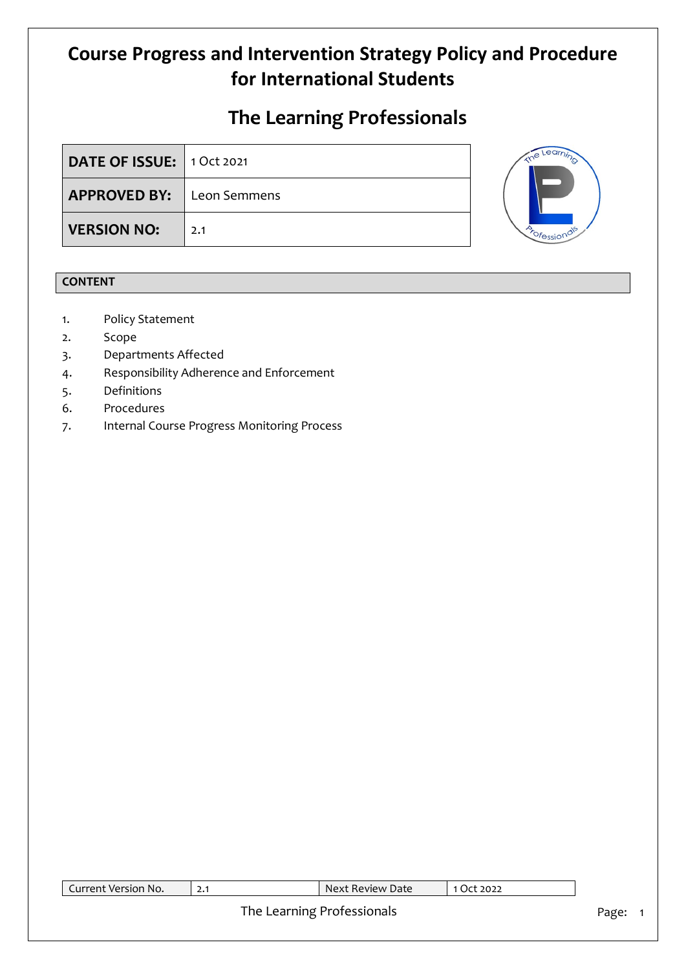# **The Learning Professionals**

| DATE OF ISSUE: 1 Oct 2021        |     |  |
|----------------------------------|-----|--|
| <b>APPROVED BY:</b> Leon Semmens |     |  |
| <b>VERSION NO:</b>               | 2.1 |  |



## **CONTENT**

- 1. Policy Statement
- 2. Scope
- 3. Departments Affected
- 4. Responsibility Adherence and Enforcement
- 5. Definitions
- 6. Procedures
- 7. Internal Course Progress Monitoring Process

| Current Version No. | Next Review Date           | 1 Oct 2022 |       |
|---------------------|----------------------------|------------|-------|
|                     |                            |            |       |
|                     | The Learning Professionals |            | Page: |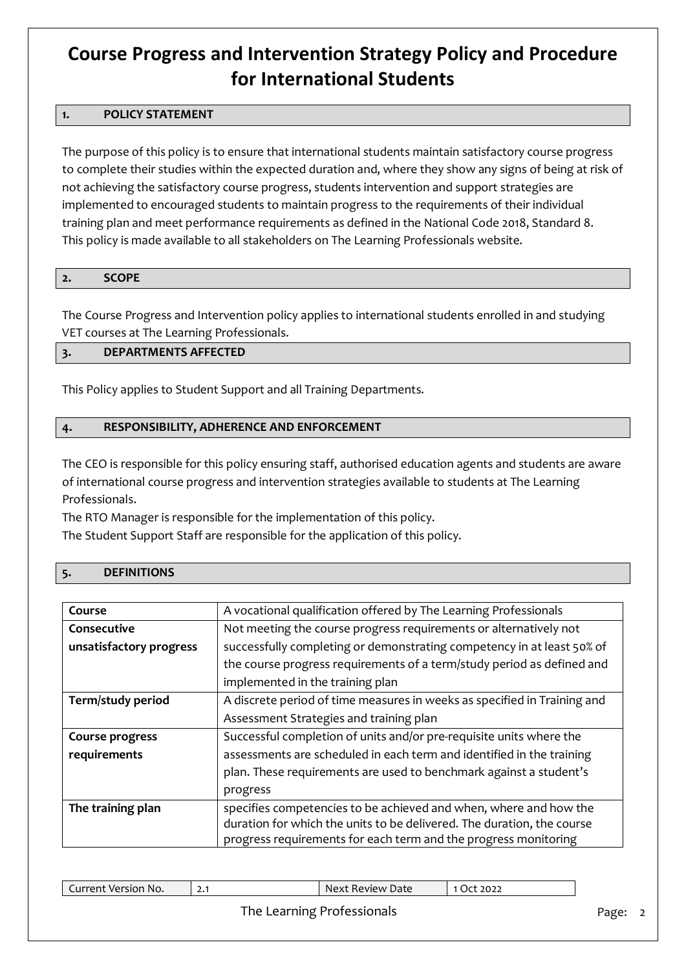## **1. POLICY STATEMENT**

The purpose of this policy is to ensure that international students maintain satisfactory course progress to complete their studies within the expected duration and, where they show any signs of being at risk of not achieving the satisfactory course progress, students intervention and support strategies are implemented to encouraged students to maintain progress to the requirements of their individual training plan and meet performance requirements as defined in the National Code 2018, Standard 8. This policy is made available to all stakeholders on The Learning Professionals website.

#### **2. SCOPE**

The Course Progress and Intervention policy applies to international students enrolled in and studying VET courses at The Learning Professionals.

### **3. DEPARTMENTS AFFECTED**

This Policy applies to Student Support and all Training Departments.

## **4. RESPONSIBILITY, ADHERENCE AND ENFORCEMENT**

The CEO is responsible for this policy ensuring staff, authorised education agents and students are aware of international course progress and intervention strategies available to students at The Learning Professionals.

The RTO Manager is responsible for the implementation of this policy.

The Student Support Staff are responsible for the application of this policy.

### **5. DEFINITIONS**

| Course                  | A vocational qualification offered by The Learning Professionals         |
|-------------------------|--------------------------------------------------------------------------|
| Consecutive             | Not meeting the course progress requirements or alternatively not        |
| unsatisfactory progress | successfully completing or demonstrating competency in at least 50% of   |
|                         | the course progress requirements of a term/study period as defined and   |
|                         | implemented in the training plan                                         |
| Term/study period       | A discrete period of time measures in weeks as specified in Training and |
|                         | Assessment Strategies and training plan                                  |
| <b>Course progress</b>  | Successful completion of units and/or pre-requisite units where the      |
| requirements            | assessments are scheduled in each term and identified in the training    |
|                         | plan. These requirements are used to benchmark against a student's       |
|                         | progress                                                                 |
| The training plan       | specifies competencies to be achieved and when, where and how the        |
|                         | duration for which the units to be delivered. The duration, the course   |
|                         | progress requirements for each term and the progress monitoring          |

| יר חר<br>Review Date<br>$\blacksquare$<br><b>Version</b><br>۱۳<br><b>AV1</b><br>`NO.<br>NΑ<br>en.<br>'XI<br>5022<br>$\sim \cdot$ |
|----------------------------------------------------------------------------------------------------------------------------------|
|----------------------------------------------------------------------------------------------------------------------------------|

## The Learning Professionals **Page: 2** Page: 2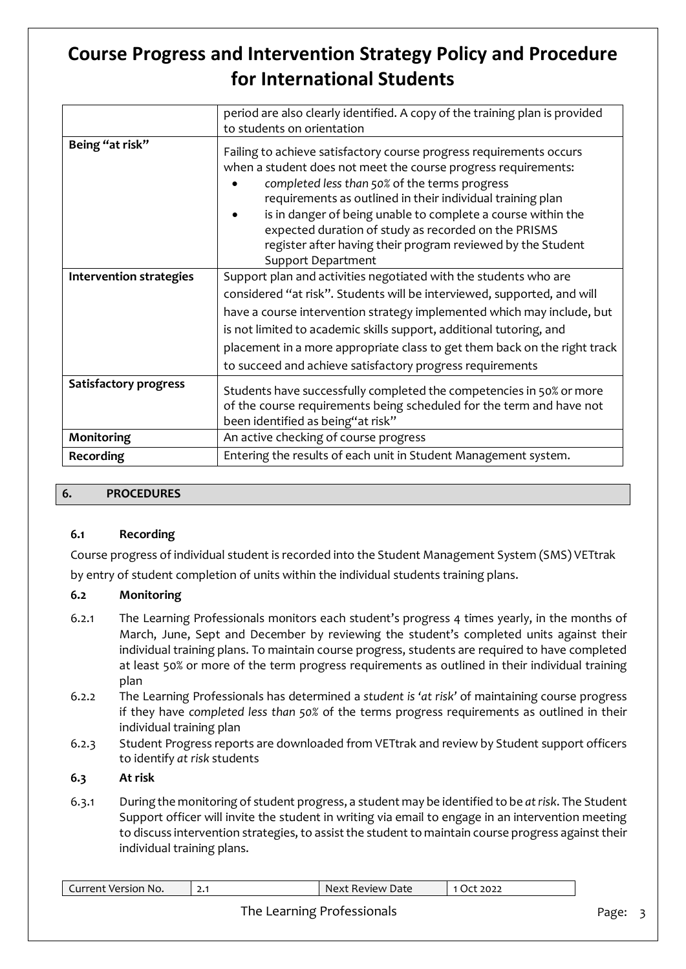|                                | period are also clearly identified. A copy of the training plan is provided                                                                                                                                                                                                                                                                                                                                                                                              |  |  |  |  |
|--------------------------------|--------------------------------------------------------------------------------------------------------------------------------------------------------------------------------------------------------------------------------------------------------------------------------------------------------------------------------------------------------------------------------------------------------------------------------------------------------------------------|--|--|--|--|
|                                | to students on orientation                                                                                                                                                                                                                                                                                                                                                                                                                                               |  |  |  |  |
| Being "at risk"                | Failing to achieve satisfactory course progress requirements occurs<br>when a student does not meet the course progress requirements:<br>completed less than 50% of the terms progress<br>requirements as outlined in their individual training plan<br>is in danger of being unable to complete a course within the<br>expected duration of study as recorded on the PRISMS<br>register after having their program reviewed by the Student<br><b>Support Department</b> |  |  |  |  |
| <b>Intervention strategies</b> | Support plan and activities negotiated with the students who are                                                                                                                                                                                                                                                                                                                                                                                                         |  |  |  |  |
|                                | considered "at risk". Students will be interviewed, supported, and will                                                                                                                                                                                                                                                                                                                                                                                                  |  |  |  |  |
|                                | have a course intervention strategy implemented which may include, but                                                                                                                                                                                                                                                                                                                                                                                                   |  |  |  |  |
|                                | is not limited to academic skills support, additional tutoring, and                                                                                                                                                                                                                                                                                                                                                                                                      |  |  |  |  |
|                                | placement in a more appropriate class to get them back on the right track                                                                                                                                                                                                                                                                                                                                                                                                |  |  |  |  |
|                                | to succeed and achieve satisfactory progress requirements                                                                                                                                                                                                                                                                                                                                                                                                                |  |  |  |  |
| Satisfactory progress          | Students have successfully completed the competencies in 50% or more<br>of the course requirements being scheduled for the term and have not<br>been identified as being"at risk"                                                                                                                                                                                                                                                                                        |  |  |  |  |
| Monitoring                     | An active checking of course progress                                                                                                                                                                                                                                                                                                                                                                                                                                    |  |  |  |  |
| Recording                      | Entering the results of each unit in Student Management system.                                                                                                                                                                                                                                                                                                                                                                                                          |  |  |  |  |

### **6. PROCEDURES**

### **6.1 Recording**

Course progress of individual student is recorded into the Student Management System (SMS) VETtrak by entry of student completion of units within the individual students training plans.

## **6.2 Monitoring**

- 6.2.1 The Learning Professionals monitors each student's progress 4 times yearly, in the months of March, June, Sept and December by reviewing the student's completed units against their individual training plans. To maintain course progress, students are required to have completed at least 50% or more of the term progress requirements as outlined in their individual training plan
- 6.2.2 The Learning Professionals has determined a *student is 'at risk'* of maintaining course progress if they have *completed less than 50%* of the terms progress requirements as outlined in their individual training plan
- 6.2.3 Student Progress reports are downloaded from VETtrak and review by Student support officers to identify *at risk* students

## **6.3 At risk**

6.3.1 During the monitoring of student progress, a student may be identified to be *at risk*. The Student Support officer will invite the student in writing via email to engage in an intervention meeting to discuss intervention strategies, to assist the student to maintain course progress against their individual training plans.

| Lurrent<br>* Version No.<br>xt Review Date:<br>Next<br>2022<br><u></u> |
|------------------------------------------------------------------------|
|------------------------------------------------------------------------|

## The Learning Professionals **Page: 3** Page: 3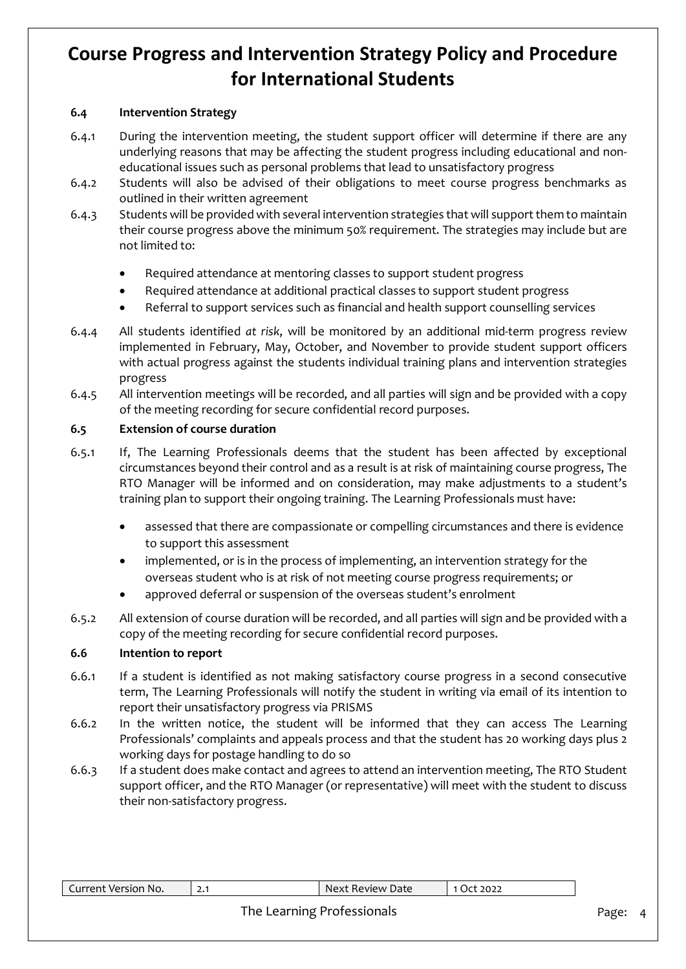## **6.4 Intervention Strategy**

- 6.4.1 During the intervention meeting, the student support officer will determine if there are any underlying reasons that may be affecting the student progress including educational and noneducational issues such as personal problems that lead to unsatisfactory progress
- 6.4.2 Students will also be advised of their obligations to meet course progress benchmarks as outlined in their written agreement
- 6.4.3 Students will be provided with several intervention strategies that will support them to maintain their course progress above the minimum 50% requirement. The strategies may include but are not limited to:
	- Required attendance at mentoring classes to support student progress
	- Required attendance at additional practical classes to support student progress
	- Referral to support services such as financial and health support counselling services
- 6.4.4 All students identified *at risk*, will be monitored by an additional mid-term progress review implemented in February, May, October, and November to provide student support officers with actual progress against the students individual training plans and intervention strategies progress
- 6.4.5 All intervention meetings will be recorded, and all parties will sign and be provided with a copy of the meeting recording for secure confidential record purposes.

### **6.5 Extension of course duration**

- 6.5.1 If, The Learning Professionals deems that the student has been affected by exceptional circumstances beyond their control and as a result is at risk of maintaining course progress, The RTO Manager will be informed and on consideration, may make adjustments to a student's training plan to support their ongoing training. The Learning Professionals must have:
	- assessed that there are compassionate or compelling circumstances and there is evidence to support this assessment
	- implemented, or is in the process of implementing, an intervention strategy for the overseas student who is at risk of not meeting course progress requirements; or
	- approved deferral or suspension of the overseas student's enrolment
- 6.5.2 All extension of course duration will be recorded, and all parties will sign and be provided with a copy of the meeting recording for secure confidential record purposes.

### **6.6 Intention to report**

- 6.6.1 If a student is identified as not making satisfactory course progress in a second consecutive term, The Learning Professionals will notify the student in writing via email of its intention to report their unsatisfactory progress via PRISMS
- 6.6.2 In the written notice, the student will be informed that they can access The Learning Professionals' complaints and appeals process and that the student has 20 working days plus 2 working days for postage handling to do so
- 6.6.3 If a student does make contact and agrees to attend an intervention meeting, The RTO Student support officer, and the RTO Manager (or representative) will meet with the student to discuss their non-satisfactory progress.

| Current Version No. | Next Review Date           | $\vert$ 1 Oct 2022 |       |
|---------------------|----------------------------|--------------------|-------|
|                     | The Learning Professionals |                    | Page: |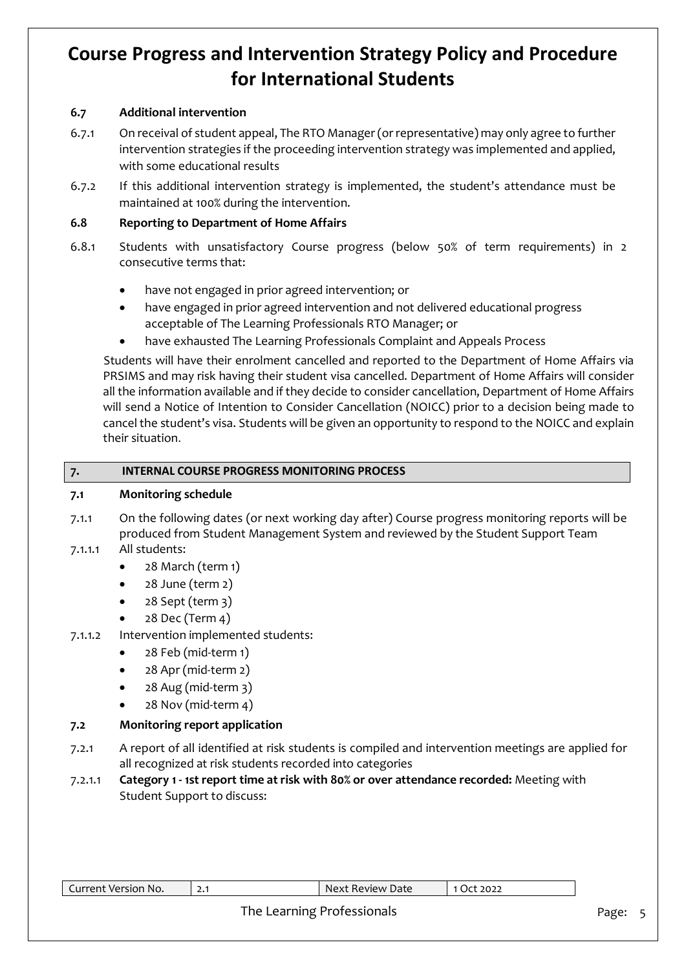## **6.7 Additional intervention**

- 6.7.1 On receival of student appeal, The RTO Manager (or representative) may only agree to further intervention strategies if the proceeding intervention strategy was implemented and applied, with some educational results
- 6.7.2 If this additional intervention strategy is implemented, the student's attendance must be maintained at 100% during the intervention.

## **6.8 Reporting to Department of Home Affairs**

- 6.8.1 Students with unsatisfactory Course progress (below 50% of term requirements) in 2 consecutive terms that:
	- have not engaged in prior agreed intervention; or
	- have engaged in prior agreed intervention and not delivered educational progress acceptable of The Learning Professionals RTO Manager; or
	- have exhausted The Learning Professionals Complaint and Appeals Process

Students will have their enrolment cancelled and reported to the Department of Home Affairs via PRSIMS and may risk having their student visa cancelled. Department of Home Affairs will consider all the information available and if they decide to consider cancellation, Department of Home Affairs will send a Notice of Intention to Consider Cancellation (NOICC) prior to a decision being made to cancel the student's visa. Students will be given an opportunity to respond to the NOICC and explain their situation.

### **7. INTERNAL COURSE PROGRESS MONITORING PROCESS**

#### **7.1 Monitoring schedule**

- 7.1.1 On the following dates (or next working day after) Course progress monitoring reports will be produced from Student Management System and reviewed by the Student Support Team
- 7.1.1.1 All students:
	- 28 March (term 1)
	- 28 June (term 2)
	- 28 Sept (term 3)
	- 28 Dec (Term 4)
- 7.1.1.2 Intervention implemented students:
	- 28 Feb (mid-term 1)
	- 28 Apr (mid-term 2)
	- 28 Aug (mid-term 3)
	- 28 Nov (mid-term 4)

### **7.2 Monitoring report application**

- 7.2.1 A report of all identified at risk students is compiled and intervention meetings are applied for all recognized at risk students recorded into categories
- 7.2.1.1 **Category 1 - 1st report time at risk with 80% or over attendance recorded:** Meeting with Student Support to discuss:

| Current<br>* Version No. | <u>.</u> | : Review Date<br>Next | 2022<br>٦٣. |
|--------------------------|----------|-----------------------|-------------|
|                          |          |                       |             |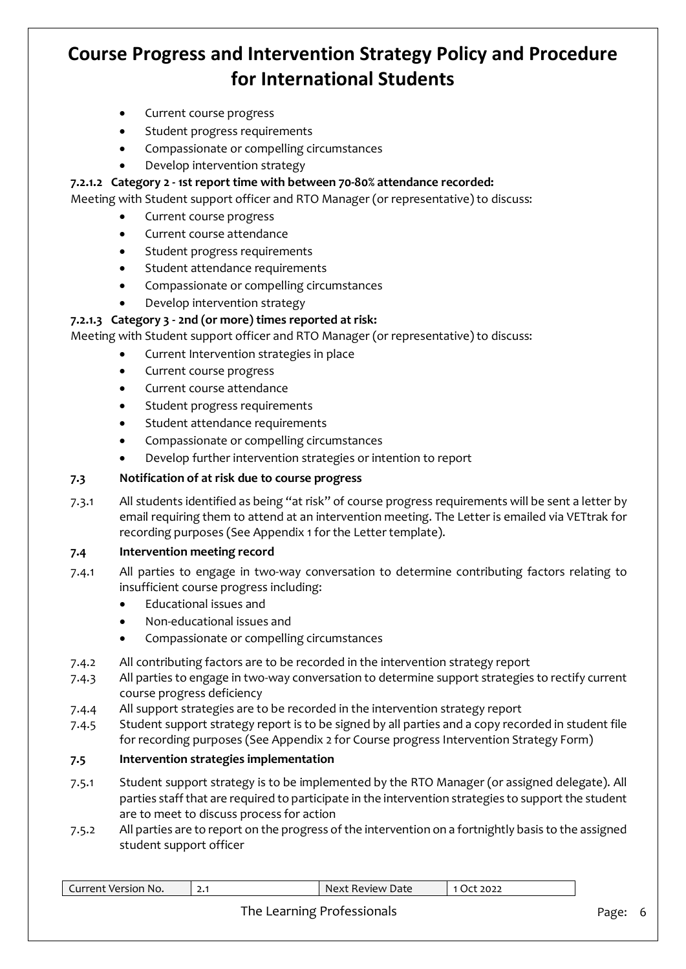- Current course progress
- Student progress requirements
- Compassionate or compelling circumstances
- Develop intervention strategy

### **7.2.1.2 Category 2 - 1st report time with between 70-80% attendance recorded:**

Meeting with Student support officer and RTO Manager (or representative) to discuss:

- Current course progress
- Current course attendance
- Student progress requirements
- Student attendance requirements
- Compassionate or compelling circumstances
- Develop intervention strategy

## **7.2.1.3 Category 3 - 2nd (or more) times reported at risk:**

Meeting with Student support officer and RTO Manager (or representative) to discuss:

- Current Intervention strategies in place
- Current course progress
- Current course attendance
- Student progress requirements
- Student attendance requirements
- Compassionate or compelling circumstances
- Develop further intervention strategies or intention to report

### **7.3 Notification of at risk due to course progress**

7.3.1 All students identified as being "at risk" of course progress requirements will be sent a letter by email requiring them to attend at an intervention meeting. The Letter is emailed via VETtrak for recording purposes (See Appendix 1 for the Letter template).

### **7.4 Intervention meeting record**

- 7.4.1 All parties to engage in two-way conversation to determine contributing factors relating to insufficient course progress including:
	- Educational issues and
	- Non-educational issues and
	- Compassionate or compelling circumstances
- 7.4.2 All contributing factors are to be recorded in the intervention strategy report
- 7.4.3 All parties to engage in two-way conversation to determine support strategies to rectify current course progress deficiency
- 7.4.4 All support strategies are to be recorded in the intervention strategy report
- 7.4.5 Student support strategy report is to be signed by all parties and a copy recorded in student file for recording purposes (See Appendix 2 for Course progress Intervention Strategy Form)

### **7.5 Intervention strategies implementation**

- 7.5.1 Student support strategy is to be implemented by the RTO Manager (or assigned delegate). All parties staff that are required to participate in the intervention strategies to support the student are to meet to discuss process for action
- 7.5.2 All parties are to report on the progress of the intervention on a fortnightly basis to the assigned student support officer

| urrent<br>Versior<br>NO.<br>rent | ا • 4 | NΑ<br>Date<br>י ⁄וים שו | $\sim$ $\sim$ $\sim$<br>$\mathcal{L}$<br>--- |
|----------------------------------|-------|-------------------------|----------------------------------------------|
|                                  |       |                         |                                              |

## The Learning Professionals **Page: 6** Page: 6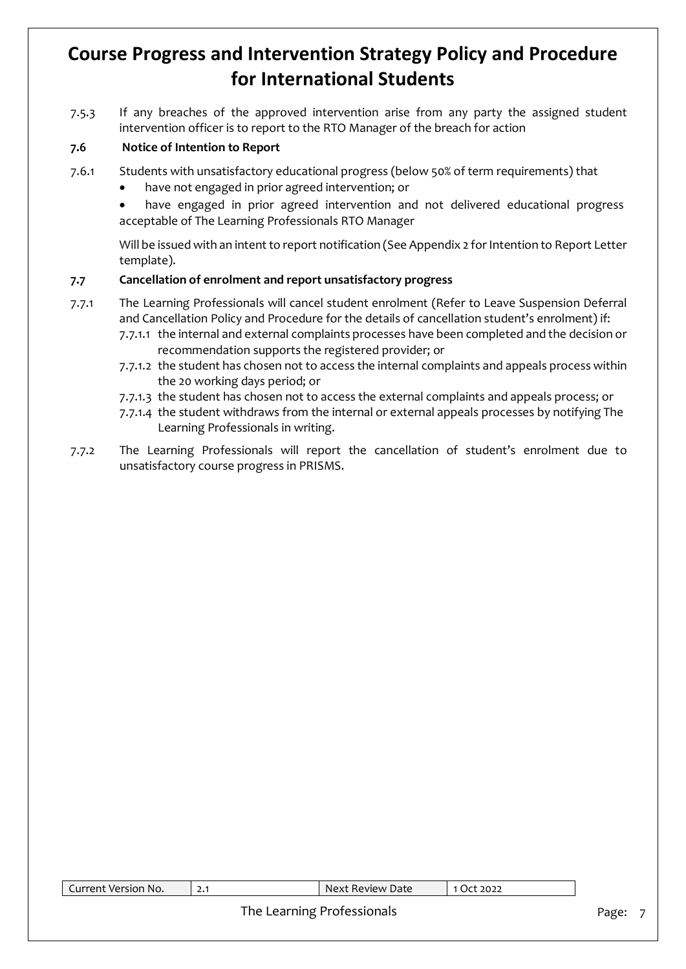7.5.3 If any breaches of the approved intervention arise from any party the assigned student intervention officer is to report to the RTO Manager of the breach for action

## **7.6 Notice of Intention to Report**

- 7.6.1 Students with unsatisfactory educational progress (below 50% of term requirements) that
	- have not engaged in prior agreed intervention; or
	- have engaged in prior agreed intervention and not delivered educational progress acceptable of The Learning Professionals RTO Manager

Will be issued with an intent to report notification (See Appendix 2 for Intention to Report Letter template).

## **7.7 Cancellation of enrolment and report unsatisfactory progress**

- 7.7.1 The Learning Professionals will cancel student enrolment (Refer to Leave Suspension Deferral and Cancellation Policy and Procedure for the details of cancellation student's enrolment) if:
	- 7.7.1.1 the internal and external complaints processes have been completed and the decision or recommendation supports the registered provider; or
	- 7.7.1.2 the student has chosen not to access the internal complaints and appeals process within the 20 working days period; or
	- 7.7.1.3 the student has chosen not to access the external complaints and appeals process; or
	- 7.7.1.4 the student withdraws from the internal or external appeals processes by notifying The Learning Professionals in writing.
- 7.7.2 The Learning Professionals will report the cancellation of student's enrolment due to unsatisfactory course progress in PRISMS.

| Current Version No. | Next Review Date           | 1 Oct 2022 |       |
|---------------------|----------------------------|------------|-------|
|                     |                            |            |       |
|                     | The Learning Professionals |            | Page: |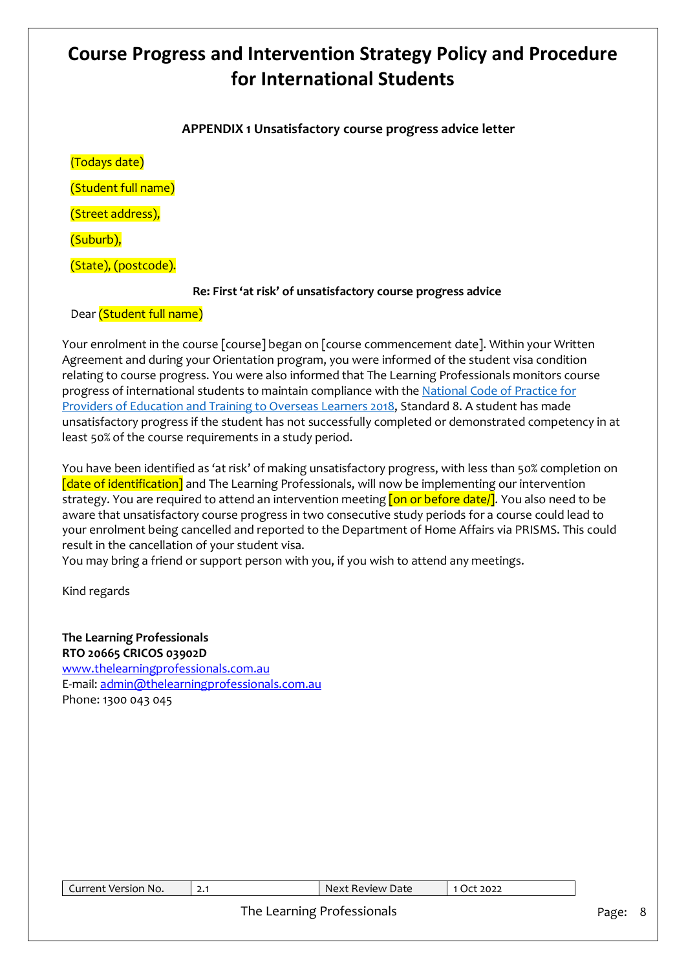## **APPENDIX 1 Unsatisfactory course progress advice letter**

(Todays date) (Student full name) (Street address), (Suburb), (State), (postcode).

## **Re: First 'at risk' of unsatisfactory course progress advice**

Dear (Student full name)

Your enrolment in the course [course] began on [course commencement date]. Within your Written Agreement and during your Orientation program, you were informed of the student visa condition relating to course progress. You were also informed that The Learning Professionals monitors course progress of international students to maintain compliance with the [National Code of Practice for](https://www.legislation.gov.au/Details/F2017L01182)  [Providers of Education and Training to Overseas Learners 2018,](https://www.legislation.gov.au/Details/F2017L01182) Standard 8. A student has made unsatisfactory progress if the student has not successfully completed or demonstrated competency in at least 50% of the course requirements in a study period.

You have been identified as 'at risk' of making unsatisfactory progress, with less than 50% completion on [date of identification] and The Learning Professionals, will now be implementing our intervention strategy. You are required to attend an intervention meeting **[on or before date/]**. You also need to be aware that unsatisfactory course progress in two consecutive study periods for a course could lead to your enrolment being cancelled and reported to the Department of Home Affairs via PRISMS. This could result in the cancellation of your student visa.

You may bring a friend or support person with you, if you wish to attend any meetings.

Kind regards

**The Learning Professionals RTO 20665 CRICOS 03902D** [www.thelearningprofessionals.com.au](https://lpcomm.sharepoint.com/sites/TheLearningProfessionals/In%20Progress/Hien/The%20Learning%20Professionals/Policy/Proofread/www.thelearningprofessionals.com.au) E-mail: [admin@thelearningprofessionals.com.au](mailto:admin@thelearningprofessionals.com.au) Phone: 1300 043 045

| Current Version No.        | 2.1 | Next Review Date | 1 Oct 2022 |         |  |
|----------------------------|-----|------------------|------------|---------|--|
| The Learning Professionals |     |                  |            | Page: 8 |  |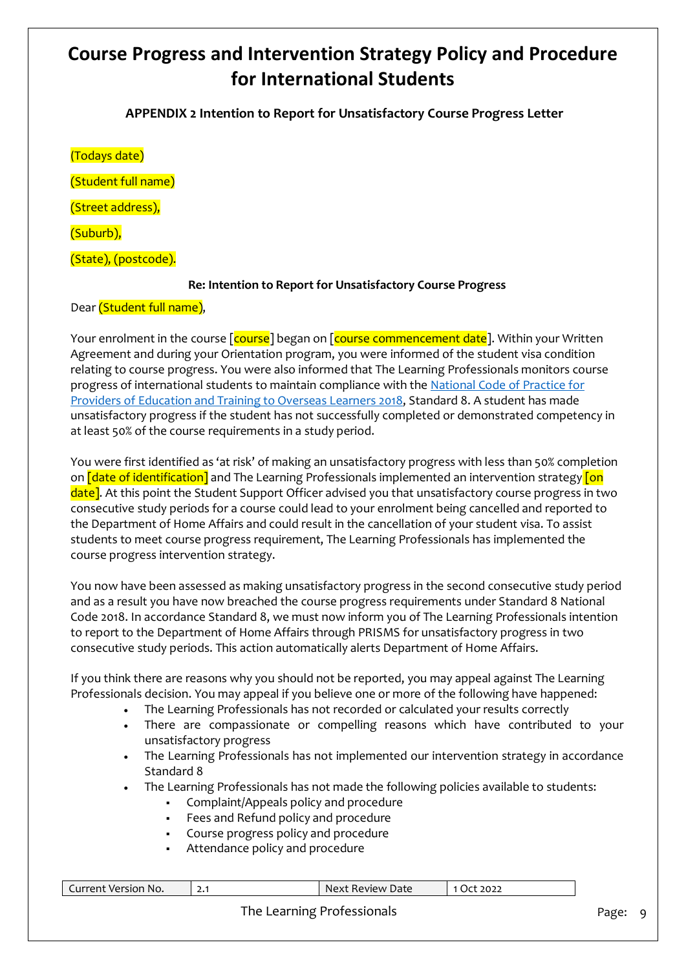**APPENDIX 2 Intention to Report for Unsatisfactory Course Progress Letter**

(Todays date)

(Student full name)

(Street address),

(Suburb),

(State), (postcode).

## **Re: Intention to Report for Unsatisfactory Course Progress**

Dear (Student full name),

Your enrolment in the course [course] began on [course commencement date]. Within your Written Agreement and during your Orientation program, you were informed of the student visa condition relating to course progress. You were also informed that The Learning Professionals monitors course progress of international students to maintain compliance with th[e National Code of Practice for](https://www.legislation.gov.au/Details/F2017L01182)  [Providers of Education and Training to Overseas Learners 2018,](https://www.legislation.gov.au/Details/F2017L01182) Standard 8. A student has made unsatisfactory progress if the student has not successfully completed or demonstrated competency in at least 50% of the course requirements in a study period.

You were first identified as 'at risk' of making an unsatisfactory progress with less than 50% completion on **[date of identification]** and The Learning Professionals implemented an intervention strategy **[on**] date]. At this point the Student Support Officer advised you that unsatisfactory course progress in two consecutive study periods for a course could lead to your enrolment being cancelled and reported to the Department of Home Affairs and could result in the cancellation of your student visa. To assist students to meet course progress requirement, The Learning Professionals has implemented the course progress intervention strategy.

You now have been assessed as making unsatisfactory progress in the second consecutive study period and as a result you have now breached the course progress requirements under Standard 8 National Code 2018. In accordance Standard 8, we must now inform you of The Learning Professionals intention to report to the Department of Home Affairs through PRISMS for unsatisfactory progress in two consecutive study periods. This action automatically alerts Department of Home Affairs.

If you think there are reasons why you should not be reported, you may appeal against The Learning Professionals decision. You may appeal if you believe one or more of the following have happened:

- The Learning Professionals has not recorded or calculated your results correctly
- There are compassionate or compelling reasons which have contributed to your unsatisfactory progress
- The Learning Professionals has not implemented our intervention strategy in accordance Standard 8
- The Learning Professionals has not made the following policies available to students:
	- Complaint/Appeals policy and procedure
		- Fees and Refund policy and procedure
		- Course progress policy and procedure
		- Attendance policy and procedure

| Current Version No.        | 2.1 | Next Review Date | 1 Oct 2022 |  |  |
|----------------------------|-----|------------------|------------|--|--|
| The Learning Professionals |     |                  |            |  |  |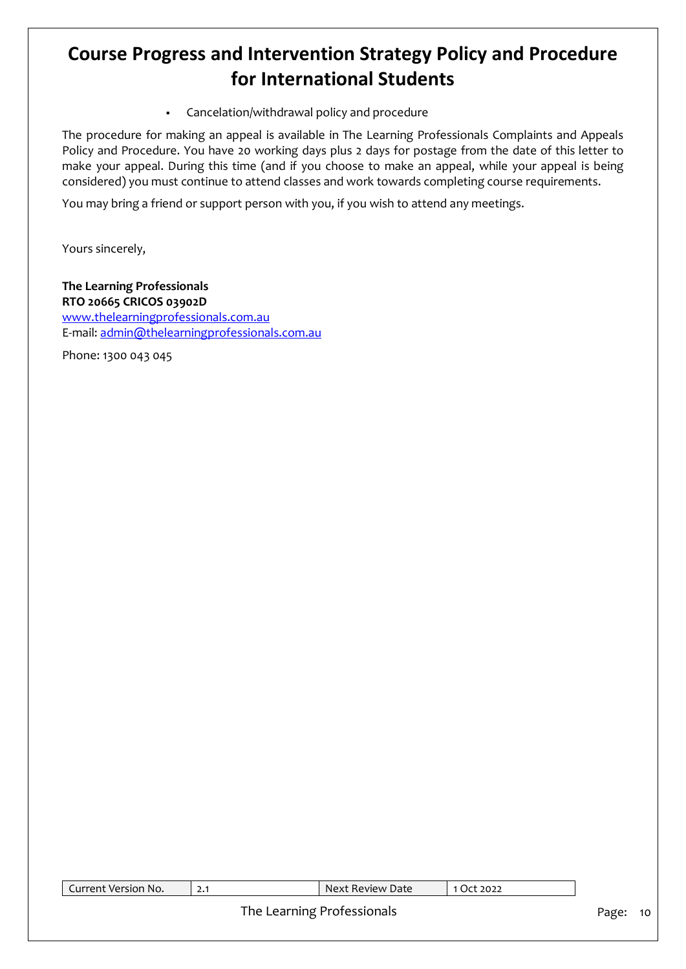Cancelation/withdrawal policy and procedure

The procedure for making an appeal is available in The Learning Professionals Complaints and Appeals Policy and Procedure. You have 20 working days plus 2 days for postage from the date of this letter to make your appeal. During this time (and if you choose to make an appeal, while your appeal is being considered) you must continue to attend classes and work towards completing course requirements.

You may bring a friend or support person with you, if you wish to attend any meetings.

Yours sincerely,

## **The Learning Professionals RTO 20665 CRICOS 03902D** [www.thelearningprofessionals.com.au](https://lpcomm.sharepoint.com/sites/TheLearningProfessionals/In%20Progress/Hien/The%20Learning%20Professionals/Policy/Proofread/www.thelearningprofessionals.com.au) E-mail: [admin@thelearningprofessionals.com.au](mailto:admin@thelearningprofessionals.com.au)

Phone: 1300 043 045

| Current Version No.        | - 2.1 | Next Review Date | 1 Oct 2022 |  |
|----------------------------|-------|------------------|------------|--|
| The Learning Professionals |       |                  |            |  |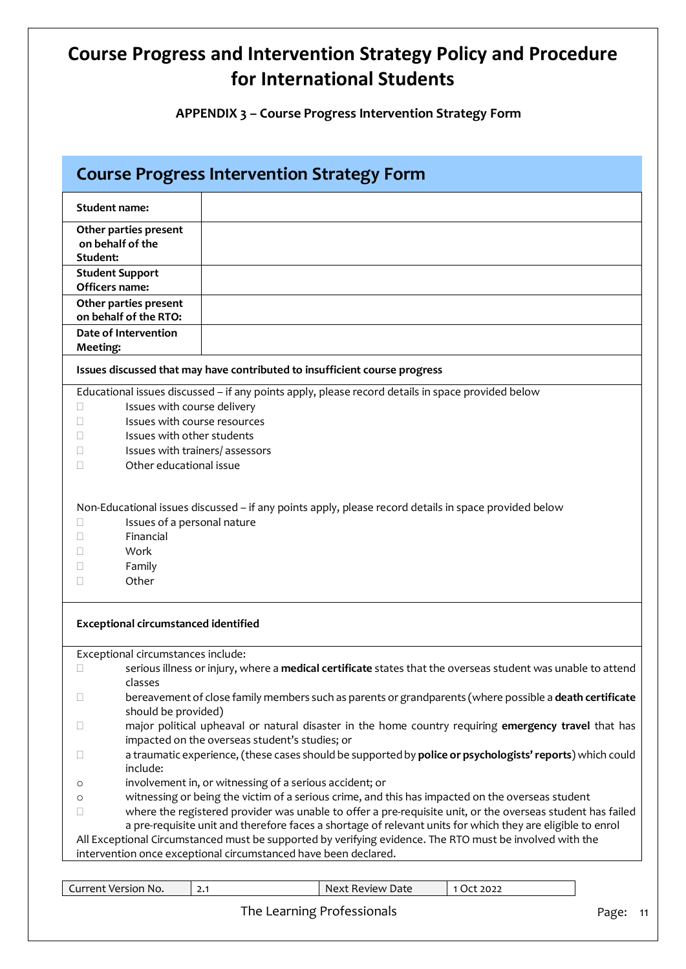**APPENDIX 3 – Course Progress Intervention Strategy Form**

| <b>Course Progress Intervention Strategy Form</b>                                                                                                                     |                                                                                                                                                                                                                                                                                                                                                                                                                                                                                                             |  |  |  |
|-----------------------------------------------------------------------------------------------------------------------------------------------------------------------|-------------------------------------------------------------------------------------------------------------------------------------------------------------------------------------------------------------------------------------------------------------------------------------------------------------------------------------------------------------------------------------------------------------------------------------------------------------------------------------------------------------|--|--|--|
| <b>Student name:</b>                                                                                                                                                  |                                                                                                                                                                                                                                                                                                                                                                                                                                                                                                             |  |  |  |
| Other parties present<br>on behalf of the<br>Student:                                                                                                                 |                                                                                                                                                                                                                                                                                                                                                                                                                                                                                                             |  |  |  |
| <b>Student Support</b><br>Officers name:                                                                                                                              |                                                                                                                                                                                                                                                                                                                                                                                                                                                                                                             |  |  |  |
| Other parties present<br>on behalf of the RTO:                                                                                                                        |                                                                                                                                                                                                                                                                                                                                                                                                                                                                                                             |  |  |  |
| Date of Intervention<br><b>Meeting:</b>                                                                                                                               |                                                                                                                                                                                                                                                                                                                                                                                                                                                                                                             |  |  |  |
|                                                                                                                                                                       | Issues discussed that may have contributed to insufficient course progress                                                                                                                                                                                                                                                                                                                                                                                                                                  |  |  |  |
| Issues with course delivery<br>Ш<br>Issues with course resources<br>П<br>Issues with other students<br>Issues with trainers/assessors<br>Other educational issue<br>П | Educational issues discussed - if any points apply, please record details in space provided below                                                                                                                                                                                                                                                                                                                                                                                                           |  |  |  |
| Issues of a personal nature<br>Financial<br>Work<br>Family<br>$\mathbf{I}$<br>Other<br>П                                                                              | Non-Educational issues discussed - if any points apply, please record details in space provided below                                                                                                                                                                                                                                                                                                                                                                                                       |  |  |  |
| <b>Exceptional circumstanced identified</b>                                                                                                                           |                                                                                                                                                                                                                                                                                                                                                                                                                                                                                                             |  |  |  |
| Exceptional circumstances include:                                                                                                                                    |                                                                                                                                                                                                                                                                                                                                                                                                                                                                                                             |  |  |  |
| u<br>classes                                                                                                                                                          | serious illness or injury, where a medical certificate states that the overseas student was unable to attend                                                                                                                                                                                                                                                                                                                                                                                                |  |  |  |
| Ш<br>should be provided)                                                                                                                                              | bereavement of close family members such as parents or grandparents (where possible a death certificate                                                                                                                                                                                                                                                                                                                                                                                                     |  |  |  |
|                                                                                                                                                                       | major political upheaval or natural disaster in the home country requiring emergency travel that has                                                                                                                                                                                                                                                                                                                                                                                                        |  |  |  |
| Ш<br>include:                                                                                                                                                         | impacted on the overseas student's studies; or<br>a traumatic experience, (these cases should be supported by police or psychologists' reports) which could                                                                                                                                                                                                                                                                                                                                                 |  |  |  |
| O                                                                                                                                                                     | involvement in, or witnessing of a serious accident; or                                                                                                                                                                                                                                                                                                                                                                                                                                                     |  |  |  |
| O<br>$\Box$                                                                                                                                                           | witnessing or being the victim of a serious crime, and this has impacted on the overseas student<br>where the registered provider was unable to offer a pre-requisite unit, or the overseas student has failed<br>a pre-requisite unit and therefore faces a shortage of relevant units for which they are eligible to enrol<br>All Exceptional Circumstanced must be supported by verifying evidence. The RTO must be involved with the<br>intervention once exceptional circumstanced have been declared. |  |  |  |
|                                                                                                                                                                       |                                                                                                                                                                                                                                                                                                                                                                                                                                                                                                             |  |  |  |
| Current Version No.                                                                                                                                                   | Next Review Date<br>1 Oct 2022<br>2.1                                                                                                                                                                                                                                                                                                                                                                                                                                                                       |  |  |  |
|                                                                                                                                                                       | The Learning Professionals<br>Page:<br>-11                                                                                                                                                                                                                                                                                                                                                                                                                                                                  |  |  |  |